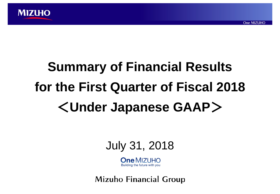

# **Summary of Financial Results for the First Quarter of Fiscal 2018**

## <**Under Japanese GAAP**>



 $One$   $MIZL$   $H\Omega$ Building the future with you

**Mizuho Financial Group**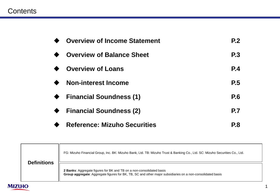## **Contents**

| <b>Overview of Income Statement</b> | P <sub>2</sub> |
|-------------------------------------|----------------|
| <b>Overview of Balance Sheet</b>    | <b>P.3</b>     |
| <b>Overview of Loans</b>            | <b>P.4</b>     |
| <b>Non-interest Income</b>          | <b>P.5</b>     |
| <b>Financial Soundness (1)</b>      | P.6            |
| <b>Financial Soundness (2)</b>      | <b>P.7</b>     |
| <b>Reference: Mizuho Securities</b> | <b>P.8</b>     |

|               | <b>Definitions</b> | FG: Mizuho Financial Group, Inc. BK: Mizuho Bank, Ltd. TB: Mizuho Trust & Banking Co., Ltd. SC: Mizuho Securities Co., Ltd.                                                        |
|---------------|--------------------|------------------------------------------------------------------------------------------------------------------------------------------------------------------------------------|
|               |                    | 2 Banks: Aggregate figures for BK and TB on a non-consolidated basis<br>Group aggregate: Aggregate figures for BK, TB, SC and other major subsidiaries on a non-consolidated basis |
| <b>MIZUHO</b> |                    |                                                                                                                                                                                    |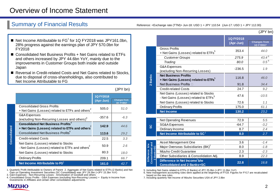## Overview of Income Statement

### Summary of Financial Results Reference: <Exchange rate (TTM)> Jun-18: USD 1 = JPY 110.54 (Jun-17: USD 1 = JPY 112.00)

(JPY bn)

- $\blacksquare$  Net Income Attributable to FG<sup>1</sup> for 1Q FY2018 was JPY161.0bn, 28% progress against the earnings plan of JPY 570.0bn for FY2018
- Consolidated Net Business Profits + Net Gains related to ETFs and others increased by JPY 44.6bn YoY, mainly due to the improvements in Customer Groups both inside and outside Japan
- Reversal in Credit-related Costs and Net Gains related to Stocks. due to disposal of cross-shareholdings, also contributed to Net Income Attributable to FG

(JPY bn)

|              |                                                                                                          | 1Q FY2018<br>(Apr-Jun) | <b>Changes from</b><br>1Q FY2017 |
|--------------|----------------------------------------------------------------------------------------------------------|------------------------|----------------------------------|
| Consolidated | <b>Consolidated Gross Profits</b><br>+ Net Gains (Losses) related to ETFs and others <sup>2</sup>        | 505.0                  | 51.0                             |
|              | G&A Expenses<br>(excluding Non-Recurring Losses and others) <sup>3</sup>                                 | $-357.6$               | $-6.3$                           |
|              | <b>Consolidated Net Business Profits</b> <sup>4</sup><br>+ Net Gains (Losses) related to ETFs and others | 142.9                  | 44.6                             |
|              | <b>Consolidated Net Business Profits</b> <sup>4</sup>                                                    | 113.6                  | 29.2                             |
|              | <b>Credit-related Costs</b>                                                                              | 22.5                   | 3.3                              |
|              | Net Gains (Losses) related to Stocks<br>- Net Gains (Losses) related to ETFs and others                  | 50.9                   | 2.6                              |
|              | Net Gains (Losses) related to Stocks                                                                     | 80.3                   | 18.0                             |
|              | <b>Ordinary Profits</b>                                                                                  | 209.1                  | 66.7                             |
|              | Net Income Attributable to FG <sup>1</sup>                                                               | 161.0                  | 42.7                             |
|              |                                                                                                          |                        |                                  |

1. Quarterly Profit Attributable to Owners of Parent 2. Aggregate of Net Gains related to ETFs (2 Banks) and Net Gain on Operating Investment Securities (SC Consolidated) was JPY 29.3bn (+JPY 15.3bn YoY)

3. G&A Expenses - Non-Recurring Losses - Amortization of Goodwill and others

4. Consolidated Gross Profits - G&A Expenses (excluding Non-Recurring Losses) + Equity in Income from Investments in Affiliates and certain other consolidation adjustments



5. Including Net Gains related to ETFs (2 Banks) of JPY 25.0bn (+JPY 11.6bn YoY) 6. New management accounting rules were applied at the beginning of FY18. Figures for FY17 are recalculated based on the new rules

7. Including quarterly Net Income of Mizuho Securities USA of JPY 2.8bn

**Consolidated and 2 Banks+SC**

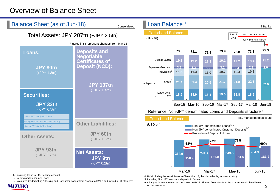## Overview of Balance Sheet



1. Excluding loans to FG. Banking account

2. Housing and Consumer Loans

3. Calculated by deducting "Housing and Consumer Loans" from "Loans to SMEs and Individual Customers"

**MIZUHO** 

4. BK (including the subsidiaries in China, the US, the Netherlands, Indonesia, etc.)

5. Including Non-JPY loans and deposits in Japan

6. Changes in management account rules in FY18. Figures from Mar-16 to Mar-18 are recalculated based on the new rules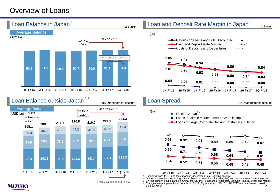## Overview of Loans

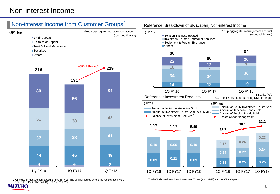## Non-interest Income from Customer Groups 1





1. Changes in management account rules in FY18. The original figures before the recalculation were 1Q FY16: JPY 221bn and 1Q FY17: JPY 192bn **MIZUHO** 

#### Reference: Breakdown of BK (Japan) Non-interest Income



2. Total of Individual Annuities, Investment Trusts (excl. MMF) and non-JPY deposits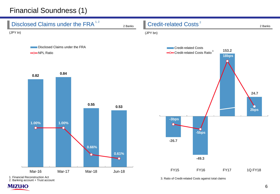## Financial Soundness (1)



2. Banking account + Trust account

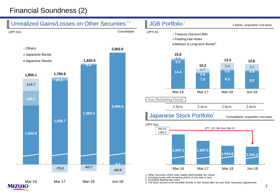## Financial Soundness (2)

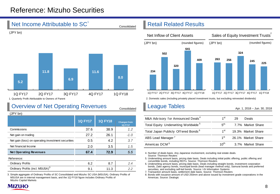## Reference: Mizuho Securities

## Net Income Attributable to SC<sup>1</sup>



1. Quarterly Profit Attributable to Owners of Parent

## Overview of Net Operating Revenues

(JPY bn)

| .                                                  | <b>1Q FY17</b> | <b>1Q FY18</b> | <b>Changes from</b><br><b>1Q FY17</b> |
|----------------------------------------------------|----------------|----------------|---------------------------------------|
| Commissions                                        | 37.6           | 38.9           | 1.2                                   |
| Net gain on trading                                | 27.2           | 26.1           | $-1.0$                                |
| Net gain (loss) on operating investment securities | 0.5            | 4.2            | 3.7                                   |
| Net financial Income                               | 2.0            | 3.5            | 1.5                                   |
| <b>Net Operating Revenues</b>                      | 67.4           | 72.9           | 5.5                                   |
| Reference:                                         |                |                |                                       |
| <b>Ordinary Profits</b>                            | 6.2            | 8.7            | 2.4                                   |
| Ordinary Profits (incl. MSUSA) <sup>3</sup>        | 9.1            | 11.3           | 2.2                                   |
|                                                    |                |                |                                       |

3. Simple aggregate of Ordinary Profits of SC Consolidated and Mizuho SC USA (MSUSA). Ordinary Profits of MSUSA are in internal management basis, and the 1Q FY18 figure includes Ordinary Profits of Mizuho Capital Markets

## Retail Related Results





2. Domestic sales (including privately placed investment trusts, but excluding reinvested dividends)

## League Tables

Consolidated

Apr. 1, 2018 – Jun. 30, 2018

| M&A Advisory for Announced Deals <sup>4</sup>    | 1 <sup>st</sup>  | 29 | Deals              |
|--------------------------------------------------|------------------|----|--------------------|
| Total Equity Underwriting Worldwide <sup>5</sup> | $5^{\text{th}}$  |    | 7.7% Market Share  |
| Total Japan Publicly Offered Bonds <sup>6</sup>  | 1 <sup>st</sup>  |    | 19.3% Market Share |
| ABS Lead Manager <sup>7</sup>                    | 1 <sup>st</sup>  |    | 26.1% Market Share |
| Americas DCM <sup>8</sup>                        | $10^{\text{th}}$ |    | 3.7% Market Share  |

4. Number of deals basis. Any Japanese involvement, excluding real estate deals. Source: Thomson Reuters

5. Underwriting amount basis, pricing date basis. Deals including initial public offering, public offering and convertible bonds, including REITs. Source: Thomson Reuters

6. Underwriting amount basis, pricing date basis. Deals including straight bonds, investment corporation bonds, Zaito agency bonds, municipal bonds (lead manager method only), Samurai bonds and preferred securities, and excluding self-led bonds. Source: I-N Information Systems

7. Transaction amount basis, settlement date basis. Source: Thomson Reuters

8. Bonds with issuance amount of USD 250mm and above issued by investment grade corporations in the Americas. Source: Dealogic